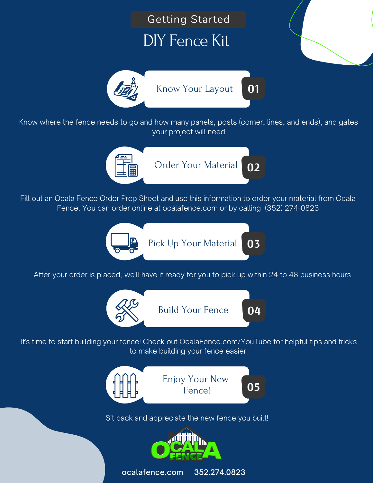



Fill out an Ocala Fence Order Prep Sheet and use this information to order your material from Ocala Fence. You can order online at ocalafence.com or by calling (352) 274-0823



After your order is placed, we'll have it ready for you to pick up within 24 to 48 business hours



It's time to start building your fence! Check out OcalaFence.com/YouTube for helpful tips and tricks to make building your fence easier



Sit back and appreciate the new fence you built!



ocalafence.com 352.274.0823